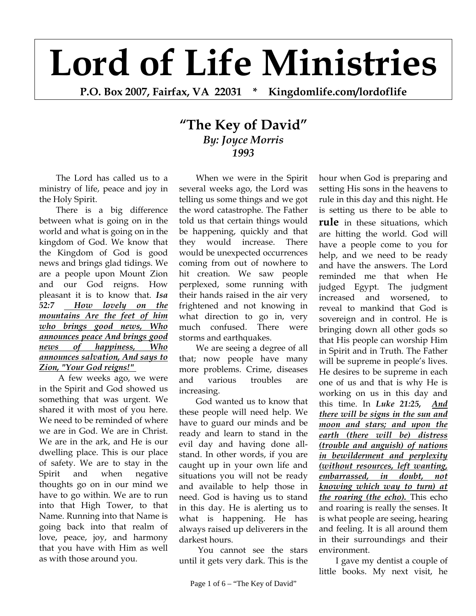## **Lord of Life Ministries**

**P.O. Box 2007, Fairfax, VA 22031 \* Kingdomlife.com/lordoflife** 

## **"The Key of David"** *By: Joyce Morris 1993*

The Lord has called us to a ministry of life, peace and joy in the Holy Spirit.

There is a big difference between what is going on in the world and what is going on in the kingdom of God. We know that the Kingdom of God is good news and brings glad tidings. We are a people upon Mount Zion and our God reigns. How pleasant it is to know that. *Isa 52:7 How lovely on the mountains Are the feet of him who brings good news, Who announces peace And brings good news of happiness, Who announces salvation, And says to Zion, "Your God reigns!"* 

 A few weeks ago, we were in the Spirit and God showed us something that was urgent. We shared it with most of you here. We need to be reminded of where we are in God. We are in Christ. We are in the ark, and He is our dwelling place. This is our place of safety. We are to stay in the Spirit and when negative thoughts go on in our mind we have to go within. We are to run into that High Tower, to that Name. Running into that Name is going back into that realm of love, peace, joy, and harmony that you have with Him as well as with those around you.

When we were in the Spirit several weeks ago, the Lord was telling us some things and we got the word catastrophe. The Father told us that certain things would be happening, quickly and that they would increase. There would be unexpected occurrences coming from out of nowhere to hit creation. We saw people perplexed, some running with their hands raised in the air very frightened and not knowing in what direction to go in, very much confused. There were storms and earthquakes.

We are seeing a degree of all that; now people have many more problems. Crime, diseases and various troubles are increasing.

God wanted us to know that these people will need help. We have to guard our minds and be ready and learn to stand in the evil day and having done allstand. In other words, if you are caught up in your own life and situations you will not be ready and available to help those in need. God is having us to stand in this day. He is alerting us to what is happening. He has always raised up deliverers in the darkest hours.

 You cannot see the stars until it gets very dark. This is the

hour when God is preparing and setting His sons in the heavens to rule in this day and this night. He is setting us there to be able to **rule** in these situations, which are hitting the world. God will have a people come to you for help, and we need to be ready and have the answers. The Lord reminded me that when He judged Egypt. The judgment increased and worsened, to reveal to mankind that God is sovereign and in control. He is bringing down all other gods so that His people can worship Him in Spirit and in Truth. The Father will be supreme in people's lives. He desires to be supreme in each one of us and that is why He is working on us in this day and this time. In *Luke 21:25, And there will be signs in the sun and moon and stars; and upon the earth (there will be) distress (trouble and anguish) of nations in bewilderment and perplexity (without resources, left wanting, embarrassed, in doubt, not knowing which way to turn) at the roaring (the echo).* This echo and roaring is really the senses. It is what people are seeing, hearing and feeling. It is all around them in their surroundings and their environment.

I gave my dentist a couple of little books. My next visit, he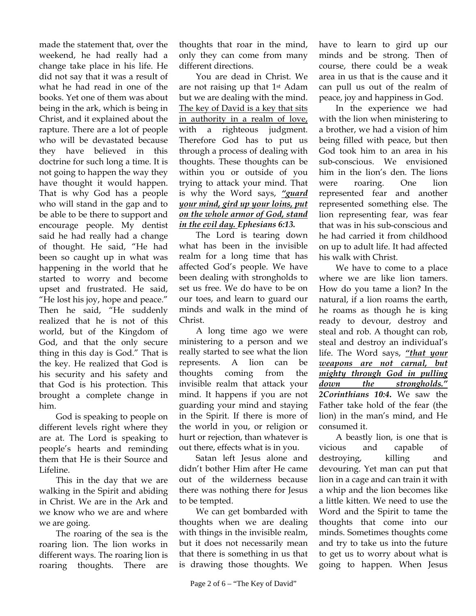made the statement that, over the weekend, he had really had a change take place in his life. He did not say that it was a result of what he had read in one of the books. Yet one of them was about being in the ark, which is being in Christ, and it explained about the rapture. There are a lot of people who will be devastated because they have believed in this doctrine for such long a time. It is not going to happen the way they have thought it would happen. That is why God has a people who will stand in the gap and to be able to be there to support and encourage people. My dentist said he had really had a change of thought. He said, "He had been so caught up in what was happening in the world that he started to worry and become upset and frustrated. He said, "He lost his joy, hope and peace." Then he said, "He suddenly realized that he is not of this world, but of the Kingdom of God, and that the only secure thing in this day is God." That is the key. He realized that God is his security and his safety and that God is his protection. This brought a complete change in him.

God is speaking to people on different levels right where they are at. The Lord is speaking to people's hearts and reminding them that He is their Source and Lifeline.

This in the day that we are walking in the Spirit and abiding in Christ. We are in the Ark and we know who we are and where we are going.

The roaring of the sea is the roaring lion. The lion works in different ways. The roaring lion is roaring thoughts. There are

thoughts that roar in the mind, only they can come from many different directions.

You are dead in Christ. We are not raising up that 1st Adam but we are dealing with the mind. The key of David is a key that sits in authority in a realm of love, with a righteous judgment. Therefore God has to put us through a process of dealing with thoughts. These thoughts can be within you or outside of you trying to attack your mind. That is why the Word says, *"guard your mind, gird up your loins, put on the whole armor of God, stand in the evil day. Ephesians 6:13.* 

The Lord is tearing down what has been in the invisible realm for a long time that has affected God's people. We have been dealing with strongholds to set us free. We do have to be on our toes, and learn to guard our minds and walk in the mind of Christ.

A long time ago we were ministering to a person and we really started to see what the lion represents. A lion can be thoughts coming from the invisible realm that attack your mind. It happens if you are not guarding your mind and staying in the Spirit. If there is more of the world in you, or religion or hurt or rejection, than whatever is out there, effects what is in you.

Satan left Jesus alone and didn't bother Him after He came out of the wilderness because there was nothing there for Jesus to be tempted.

We can get bombarded with thoughts when we are dealing with things in the invisible realm, but it does not necessarily mean that there is something in us that is drawing those thoughts. We

have to learn to gird up our minds and be strong. Then of course, there could be a weak area in us that is the cause and it can pull us out of the realm of peace, joy and happiness in God.

In the experience we had with the lion when ministering to a brother, we had a vision of him being filled with peace, but then God took him to an area in his sub-conscious. We envisioned him in the lion's den. The lions were roaring. One lion represented fear and another represented something else. The lion representing fear, was fear that was in his sub-conscious and he had carried it from childhood on up to adult life. It had affected his walk with Christ.

We have to come to a place where we are like lion tamers. How do you tame a lion? In the natural, if a lion roams the earth, he roams as though he is king ready to devour, destroy and steal and rob. A thought can rob, steal and destroy an individual's life. The Word says, *"that your weapons are not carnal, but mighty through God in pulling down the strongholds." 2Corinthians 10:4***.** We saw the Father take hold of the fear (the lion) in the man's mind, and He consumed it.

A beastly lion, is one that is vicious and capable of destroying, killing and devouring. Yet man can put that lion in a cage and can train it with a whip and the lion becomes like a little kitten. We need to use the Word and the Spirit to tame the thoughts that come into our minds. Sometimes thoughts come and try to take us into the future to get us to worry about what is going to happen. When Jesus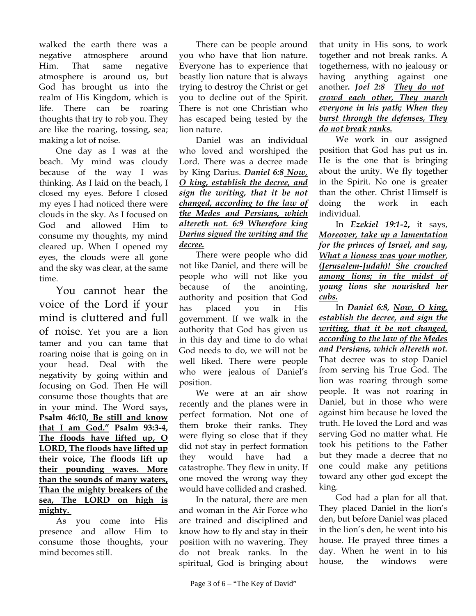walked the earth there was a negative atmosphere around Him. That same negative atmosphere is around us, but God has brought us into the realm of His Kingdom, which is life. There can be roaring thoughts that try to rob you. They are like the roaring, tossing, sea; making a lot of noise.

One day as I was at the beach. My mind was cloudy because of the way I was thinking. As I laid on the beach, I closed my eyes. Before I closed my eyes I had noticed there were clouds in the sky. As I focused on God and allowed Him to consume my thoughts, my mind cleared up. When I opened my eyes, the clouds were all gone and the sky was clear, at the same time.

You cannot hear the voice of the Lord if your mind is cluttered and full of noise. Yet you are a lion tamer and you can tame that roaring noise that is going on in your head. Deal with the negativity by going within and focusing on God. Then He will consume those thoughts that are in your mind. The Word says**, Psalm 46:10, Be still and know that I am God." Psalm 93:3-4, The floods have lifted up, O LORD, The floods have lifted up their voice, The floods lift up their pounding waves. More than the sounds of many waters, Than the mighty breakers of the sea, The LORD on high is mighty.** 

As you come into His presence and allow Him to consume those thoughts, your mind becomes still.

There can be people around you who have that lion nature. Everyone has to experience that beastly lion nature that is always trying to destroy the Christ or get you to decline out of the Spirit. There is not one Christian who has escaped being tested by the lion nature.

Daniel was an individual who loved and worshiped the Lord. There was a decree made by King Darius. *Daniel 6:8 Now, O king, establish the decree, and sign the writing, that it be not changed, according to the law of the Medes and Persians, which altereth not. 6:9 Wherefore king Darius signed the writing and the decree.*

There were people who did not like Daniel, and there will be people who will not like you because of the anointing, authority and position that God has placed you in His government. If we walk in the authority that God has given us in this day and time to do what God needs to do, we will not be well liked. There were people who were jealous of Daniel's position.

We were at an air show recently and the planes were in perfect formation. Not one of them broke their ranks. They were flying so close that if they did not stay in perfect formation they would have had a catastrophe. They flew in unity. If one moved the wrong way they would have collided and crashed.

In the natural, there are men and woman in the Air Force who are trained and disciplined and know how to fly and stay in their position with no wavering. They do not break ranks. In the spiritual, God is bringing about

that unity in His sons, to work together and not break ranks. A togetherness, with no jealousy or having anything against one another. *Joel* 2:8 *They do not crowd each other, They march everyone in his path; When they burst through the defenses, They do not break ranks.* 

We work in our assigned position that God has put us in. He is the one that is bringing about the unity. We fly together in the Spirit. No one is greater than the other. Christ Himself is doing the work in each individual.

In *Ezekiel 19:1-2***,** it says, *Moreover, take up a lamentation for the princes of Israel, and say, What a lioness was your mother*, *(Jerusalem-Judah)! She crouched among lions; in the midst of young lions she nourished her cubs.*

In *Daniel 6:8, Now, O king, establish the decree, and sign the writing, that it be not changed, according to the law of the Medes and Persians, which altereth not.*  That decree was to stop Daniel from serving his True God. The lion was roaring through some people. It was not roaring in Daniel, but in those who were against him because he loved the truth. He loved the Lord and was serving God no matter what. He took his petitions to the Father but they made a decree that no one could make any petitions toward any other god except the king.

God had a plan for all that. They placed Daniel in the lion's den, but before Daniel was placed in the lion's den, he went into his house. He prayed three times a day. When he went in to his house, the windows were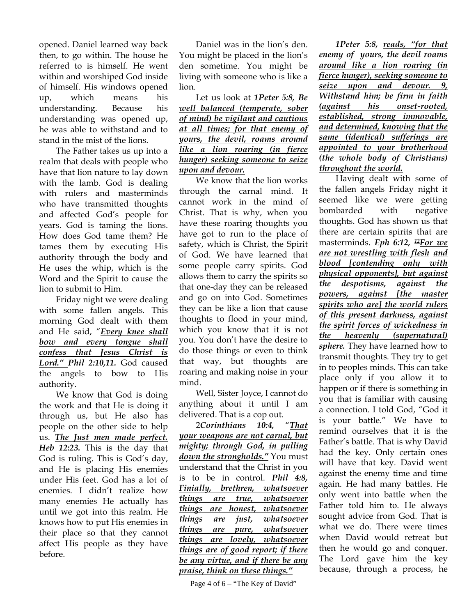opened. Daniel learned way back then, to go within. The house he referred to is himself. He went within and worshiped God inside of himself. His windows opened up, which means his understanding. Because his understanding was opened up, he was able to withstand and to stand in the mist of the lions.

The Father takes us up into a realm that deals with people who have that lion nature to lay down with the lamb. God is dealing with rulers and masterminds who have transmitted thoughts and affected God's people for years. God is taming the lions. How does God tame them? He tames them by executing His authority through the body and He uses the whip, which is the Word and the Spirit to cause the lion to submit to Him.

Friday night we were dealing with some fallen angels. This morning God dealt with them and He said, "*Every knee shall bow and every tongue shall confess that Jesus Christ is Lord." Phil 2:10,11.* God caused the angels to bow to His authority.

We know that God is doing the work and that He is doing it through us, but He also has people on the other side to help us. *The Just men made perfect. Heb 12:23.* This is the day that God is ruling. This is God's day, and He is placing His enemies under His feet. God has a lot of enemies. I didn't realize how many enemies He actually has until we got into this realm. He knows how to put His enemies in their place so that they cannot affect His people as they have before.

Daniel was in the lion's den. You might be placed in the lion's den sometime. You might be living with someone who is like a lion.

Let us look at *1Peter 5:8, Be well balanced (temperate, sober of mind) be vigilant and cautious at all times; for that enemy of yours, the devil, roams around like a lion roaring (in fierce hunger) seeking someone to seize upon and devour.*

We know that the lion works through the carnal mind. It cannot work in the mind of Christ. That is why, when you have these roaring thoughts you have got to run to the place of safety, which is Christ, the Spirit of God. We have learned that some people carry spirits. God allows them to carry the spirits so that one-day they can be released and go on into God. Sometimes they can be like a lion that cause thoughts to flood in your mind, which you know that it is not you. You don't have the desire to do those things or even to think that way, but thoughts are roaring and making noise in your mind.

Well, Sister Joyce, I cannot do anything about it until I am delivered. That is a cop out.

2*Corinthians 10:4,* "*That your weapons are not carnal, but mighty; through God, in pulling down the strongholds."* You must understand that the Christ in you is to be in control. *Phil 4:8, Finially, brethren, whatsoever things are true, whatsoever things are honest, whatsoever things are just, whatsoever things are pure, whatsoever things are lovely, whatsoever things are of good report; if there be any virtue, and if there be any praise, think on these things."*

Page 4 of  $6 -$  "The Key of David"

*1Peter 5:8, reads, "for that enemy of yours, the devil roams around like a lion roaring (in fierce hunger), seeking someone to seize upon and devour. 9, Withstand him; be firm in faith (against his onset-rooted, established, strong immovable, and determined, knowing that the same (identical) sufferings are appointed to your brotherhood (the whole body of Christians) throughout the world.*

Having dealt with some of the fallen angels Friday night it seemed like we were getting bombarded with negative thoughts. God has shown us that there are certain spirits that are masterminds. *Eph 6:12, 12For we are not wrestling with flesh and blood [contending only with physical opponents], but against the despotisms, against the powers, against [the master spirits who are] the world rulers of this present darkness, against the spirit forces of wickedness in the heavenly (supernatural) sphere.* They have learned how to transmit thoughts. They try to get in to peoples minds. This can take place only if you allow it to happen or if there is something in you that is familiar with causing a connection. I told God, "God it is your battle." We have to remind ourselves that it is the Father's battle. That is why David had the key. Only certain ones will have that key. David went against the enemy time and time again. He had many battles. He only went into battle when the Father told him to. He always sought advice from God. That is what we do. There were times when David would retreat but then he would go and conquer. The Lord gave him the key because, through a process, he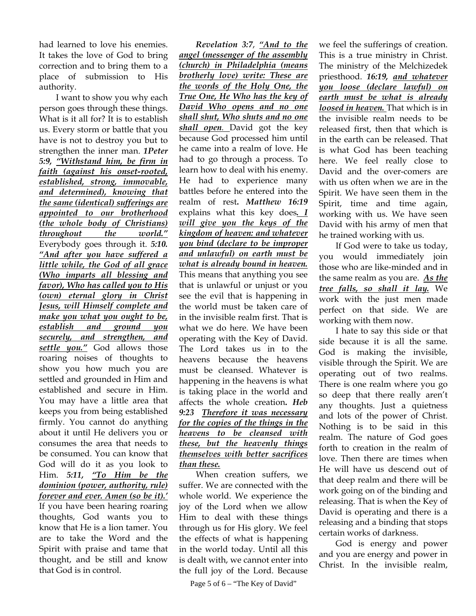had learned to love his enemies. It takes the love of God to bring correction and to bring them to a place of submission to His authority.

I want to show you why each person goes through these things. What is it all for? It is to establish us. Every storm or battle that you have is not to destroy you but to strengthen the inner man. *1Peter 5:9, "Withstand him, be firm in faith (against his onset-rooted, established, strong, immovable, and determined), knowing that the same (identical) sufferings are appointed to our brotherhood (the whole body of Christians) throughout the world."* Everybody goes through it. *5:10. "And after you have suffered a little while, the God of all grace (Who imparts all blessing and favor), Who has called you to His (own) eternal glory in Christ Jesus, will Himself complete and make you what you ought to be, establish and ground you securely, and strengthen, and settle you."* God allows those roaring noises of thoughts to show you how much you are settled and grounded in Him and established and secure in Him. You may have a little area that keeps you from being established firmly. You cannot do anything about it until He delivers you or consumes the area that needs to be consumed. You can know that God will do it as you look to Him. *5:11, "To Him be the dominion (power, authority, rule) forever and ever. Amen (so be it).'* If you have been hearing roaring thoughts, God wants you to know that He is a lion tamer. You are to take the Word and the Spirit with praise and tame that thought, and be still and know that God is in control.

*Revelation 3:7*, *"And to the angel (messenger of the assembly (church) in Philadelphia (means brotherly love) write: These are the words of the Holy One, the True One, He Who has the key of David Who opens and no one shall shut, Who shuts and no one shall open.* David got the key because God processed him until he came into a realm of love. He had to go through a process. To learn how to deal with his enemy. He had to experience many battles before he entered into the realm of rest**.** *Matthew 16:19* explains what this key does*. I will give you the keys of the kingdom of heaven: and whatever you bind (declare to be improper and unlawful) on earth must be what is already bound in heaven.* This means that anything you see that is unlawful or unjust or you see the evil that is happening in the world must be taken care of in the invisible realm first. That is what we do here. We have been operating with the Key of David. The Lord takes us in to the heavens because the heavens must be cleansed. Whatever is happening in the heavens is what is taking place in the world and affects the whole creation**.** *Heb 9:23**Therefore it was necessary for the copies of the things in the heavens to be cleansed with these, but the heavenly things themselves with better sacrifices than these.* 

When creation suffers, we suffer. We are connected with the whole world. We experience the joy of the Lord when we allow Him to deal with these things through us for His glory. We feel the effects of what is happening in the world today. Until all this is dealt with, we cannot enter into the full joy of the Lord. Because

Page 5 of  $6 -$  "The Key of David"

we feel the sufferings of creation. This is a true ministry in Christ. The ministry of the Melchizedek priesthood. *16:19, and whatever you loose (declare lawful) on earth must be what is already loosed in heaven.* That which is in the invisible realm needs to be released first, then that which is in the earth can be released. That is what God has been teaching here. We feel really close to David and the over-comers are with us often when we are in the Spirit. We have seen them in the Spirit, time and time again, working with us. We have seen David with his army of men that he trained working with us.

If God were to take us today, you would immediately join those who are like-minded and in the same realm as you are. *As the tree falls, so shall it lay.* We work with the just men made perfect on that side. We are working with them now.

I hate to say this side or that side because it is all the same. God is making the invisible, visible through the Spirit. We are operating out of two realms. There is one realm where you go so deep that there really aren't any thoughts. Just a quietness and lots of the power of Christ. Nothing is to be said in this realm. The nature of God goes forth to creation in the realm of love. Then there are times when He will have us descend out of that deep realm and there will be work going on of the binding and releasing. That is when the Key of David is operating and there is a releasing and a binding that stops certain works of darkness.

God is energy and power and you are energy and power in Christ. In the invisible realm,